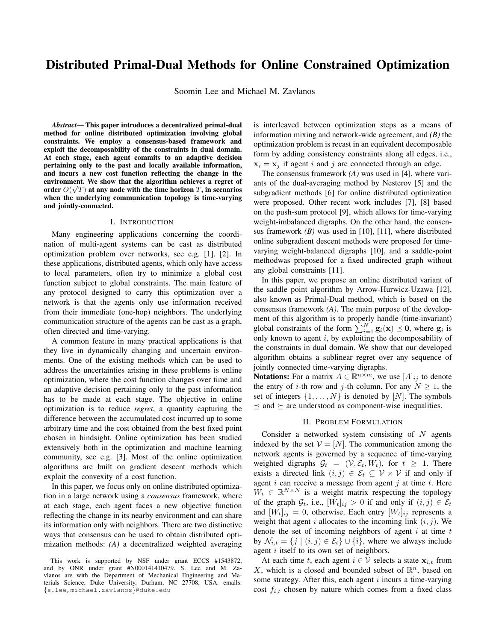# Distributed Primal-Dual Methods for Online Constrained Optimization

Soomin Lee and Michael M. Zavlanos

*Abstract*— This paper introduces a decentralized primal-dual method for online distributed optimization involving global constraints. We employ a consensus-based framework and exploit the decomposability of the constraints in dual domain. At each stage, each agent commits to an adaptive decision pertaining only to the past and locally available information, and incurs a new cost function reflecting the change in the environment. We show that the algorithm achieves a regret of order  $O(\sqrt{T})$  at any node with the time horizon  $T$ , in scenarios when the underlying communication topology is time-varying and jointly-connected.

# I. INTRODUCTION

Many engineering applications concerning the coordination of multi-agent systems can be cast as distributed optimization problem over networks, see e.g. [1], [2]. In these applications, distributed agents, which only have access to local parameters, often try to minimize a global cost function subject to global constraints. The main feature of any protocol designed to carry this optimization over a network is that the agents only use information received from their immediate (one-hop) neighbors. The underlying communication structure of the agents can be cast as a graph, often directed and time-varying.

A common feature in many practical applications is that they live in dynamically changing and uncertain environments. One of the existing methods which can be used to address the uncertainties arising in these problems is online optimization, where the cost function changes over time and an adaptive decision pertaining only to the past information has to be made at each stage. The objective in online optimization is to reduce *regret*, a quantity capturing the difference between the accumulated cost incurred up to some arbitrary time and the cost obtained from the best fixed point chosen in hindsight. Online optimization has been studied extensively both in the optimization and machine learning community, see e.g. [3]. Most of the online optimization algorithms are built on gradient descent methods which exploit the convexity of a cost function.

In this paper, we focus only on online distributed optimization in a large network using a *consensus* framework, where at each stage, each agent faces a new objective function reflecting the change in its nearby environment and can share its information only with neighbors. There are two distinctive ways that consensus can be used to obtain distributed optimization methods: *(A)* a decentralized weighted averaging is interleaved between optimization steps as a means of information mixing and network-wide agreement, and *(B)* the optimization problem is recast in an equivalent decomposable form by adding consistency constraints along all edges, i.e.,  $x_i = x_j$  if agent i and j are connected through an edge.

The consensus framework *(A)* was used in [4], where variants of the dual-averaging method by Nesterov [5] and the subgradient methods [6] for online distributed optimization were proposed. Other recent work includes [7], [8] based on the push-sum protocol [9], which allows for time-varying weight-imbalanced digraphs. On the other hand, the consensus framework *(B)* was used in [10], [11], where distributed online subgradient descent methods were proposed for timevarying weight-balanced digraphs [10], and a saddle-point methodwas proposed for a fixed undirected graph without any global constraints [11].

In this paper, we propose an online distributed variant of the saddle point algorithm by Arrow-Hurwicz-Uzawa [12], also known as Primal-Dual method, which is based on the consensus framework *(A)*. The main purpose of the development of this algorithm is to properly handle (time-invariant) global constraints of the form  $\sum_{i=1}^{N} g_i(x) \preceq 0$ , where  $g_i$  is only known to agent  $i$ , by exploiting the decomposability of the constraints in dual domain. We show that our developed algorithm obtains a sublinear regret over any sequence of jointly connected time-varying digraphs.

**Notations:** For a matrix  $A \in \mathbb{R}^{n \times m}$ , we use  $[A]_{ij}$  to denote the entry of *i*-th row and *j*-th column. For any  $N \geq 1$ , the set of integers  $\{1, \ldots, N\}$  is denoted by [N]. The symbols  $\prec$  and  $\succeq$  are understood as component-wise inequalities.

### II. PROBLEM FORMULATION

Consider a networked system consisting of  $N$  agents indexed by the set  $V = [N]$ . The communication among the network agents is governed by a sequence of time-varying weighted digraphs  $\mathcal{G}_t = (\mathcal{V}, \mathcal{E}_t, W_t)$ , for  $t \geq 1$ . There exists a directed link  $(i, j) \in \mathcal{E}_t \subseteq \mathcal{V} \times \mathcal{V}$  if and only if agent  $i$  can receive a message from agent  $j$  at time  $t$ . Here  $W_t \in \mathbb{R}^{N \times N}$  is a weight matrix respecting the topology of the graph  $\mathcal{G}_t$ , i.e.,  $[W_t]_{ij} > 0$  if and only if  $(i, j) \in \mathcal{E}_t$ and  $[W_t]_{ij} = 0$ , otherwise. Each entry  $[W_t]_{ij}$  represents a weight that agent i allocates to the incoming link  $(i, j)$ . We denote the set of incoming neighbors of agent  $i$  at time  $t$ by  $\mathcal{N}_{i,t} = \{j \mid (i,j) \in \mathcal{E}_t\} \cup \{i\}$ , where we always include agent  $i$  itself to its own set of neighbors.

At each time t, each agent  $i \in V$  selects a state  $\mathbf{x}_{i,t}$  from X, which is a closed and bounded subset of  $\mathbb{R}^n$ , based on some strategy. After this, each agent  $i$  incurs a time-varying cost  $f_{i,t}$  chosen by nature which comes from a fixed class

This work is supported by NSF under grant ECCS #1543872, and by ONR under grant #N000141410479. S. Lee and M. Zavlanos are with the Department of Mechanical Engineering and Materials Science, Duke University, Durham, NC 27708, USA. emails: {s.lee,michael.zavlanos}@duke.edu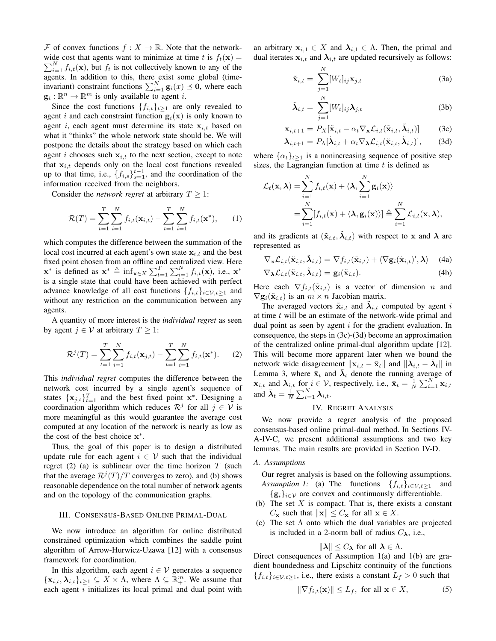F of convex functions  $f: X \to \mathbb{R}$ . Note that the networkwide cost that agents want to minimize at time t is  $f_t(\mathbf{x}) =$  $\sum_{i=1}^{N} f_{i,t}(\mathbf{x})$ , but  $f_t$  is not collectively known to any of the agents. In addition to this, there exist some global (timeinvariant) constraint functions  $\sum_{i=1}^{N} \mathbf{g}_i(x) \preceq \mathbf{0}$ , where each  $\mathbf{g}_i : \mathbb{R}^n \to \mathbb{R}^m$  is only available to agent *i*.

Since the cost functions  $\{f_{i,t}\}_{t\geq 1}$  are only revealed to agent i and each constraint function  $\mathbf{g}_i(\mathbf{x})$  is only known to agent i, each agent must determine its state  $x_{i,t}$  based on what it "thinks" the whole network state should be. We will postpone the details about the strategy based on which each agent i chooses such  $x_{i,t}$  to the next section, except to note that  $x_{i,t}$  depends only on the local cost functions revealed up to that time, i.e.,  ${f_{i,s}}_{s=1}^{t-1}$ , and the coordination of the information received from the neighbors.

Consider the *network regret* at arbitrary  $T \geq 1$ :

$$
\mathcal{R}(T) = \sum_{t=1}^{T} \sum_{i=1}^{N} f_{i,t}(\mathbf{x}_{i,t}) - \sum_{t=1}^{T} \sum_{i=1}^{N} f_{i,t}(\mathbf{x}^*), \qquad (1)
$$

which computes the difference between the summation of the local cost incurred at each agent's own state  $x_{i,t}$  and the best fixed point chosen from an offline and centralized view. Here  $\mathbf{x}^*$  is defined as  $\mathbf{x}^* \triangleq \inf_{\mathbf{x} \in X} \sum_{t=1}^T \sum_{i=1}^N f_{i,t}(\mathbf{x})$ , i.e.,  $\mathbf{x}^*$ is a single state that could have been achieved with perfect advance knowledge of all cost functions  $\{f_{i,t}\}_{i\in\mathcal{V},t>1}$  and without any restriction on the communication between any agents.

A quantity of more interest is the *individual regret* as seen by agent  $j \in V$  at arbitrary  $T \geq 1$ :

$$
\mathcal{R}^{j}(T) = \sum_{t=1}^{T} \sum_{i=1}^{N} f_{i,t}(\mathbf{x}_{j,t}) - \sum_{t=1}^{T} \sum_{i=1}^{N} f_{i,t}(\mathbf{x}^{*}).
$$
 (2)

This *individual regret* computes the difference between the network cost incurred by a single agent's sequence of states  $\{x_{j,t}\}_{t=1}^T$  and the best fixed point  $x^*$ . Designing a coordination algorithm which reduces  $\mathcal{R}^j$  for all  $j \in \mathcal{V}$  is more meaningful as this would guarantee the average cost computed at any location of the network is nearly as low as the cost of the best choice  $x^*$ .

Thus, the goal of this paper is to design a distributed update rule for each agent  $i \in V$  such that the individual regret (2) (a) is sublinear over the time horizon  $T$  (such that the average  $\mathcal{R}^j(T)/T$  converges to zero), and (b) shows reasonable dependence on the total number of network agents and on the topology of the communication graphs.

# III. CONSENSUS-BASED ONLINE PRIMAL-DUAL

We now introduce an algorithm for online distributed constrained optimization which combines the saddle point algorithm of Arrow-Hurwicz-Uzawa [12] with a consensus framework for coordination.

In this algorithm, each agent  $i \in V$  generates a sequence  $\{x_{i,t}, \lambda_{i,t}\}_{t\geq 1} \subseteq X \times \Lambda$ , where  $\Lambda \subseteq \mathbb{R}^m_+$ . We assume that each agent *i* initializes its local primal and dual point with an arbitrary  $x_{i,1} \in X$  and  $\lambda_{i,1} \in \Lambda$ . Then, the primal and dual iterates  $x_{i,t}$  and  $\lambda_{i,t}$  are updated recursively as follows:

$$
\tilde{\mathbf{x}}_{i,t} = \sum_{j=1}^{N} [W_t]_{ij} \mathbf{x}_{j,t}
$$
\n(3a)

$$
\tilde{\lambda}_{i,t} = \sum_{j=1}^{N} [W_t]_{ij} \lambda_{j,t}
$$
\n(3b)

$$
\mathbf{x}_{i,t+1} = P_X[\tilde{\mathbf{x}}_{i,t} - \alpha_t \nabla_{\mathbf{x}} \mathcal{L}_{i,t}(\tilde{\mathbf{x}}_{i,t}, \tilde{\boldsymbol{\lambda}}_{i,t})] \tag{3c}
$$

$$
\boldsymbol{\lambda}_{i,t+1} = P_{\Lambda}[\tilde{\boldsymbol{\lambda}}_{i,t} + \alpha_t \nabla_{\boldsymbol{\lambda}} \mathcal{L}_{i,t}(\tilde{\mathbf{x}}_{i,t}, \tilde{\boldsymbol{\lambda}}_{i,t})],
$$
(3d)

where  $\{\alpha_t\}_{t\geq 1}$  is a nonincreasing sequence of positive step sizes, the Lagrangian function at time  $t$  is defined as

$$
\mathcal{L}_t(\mathbf{x}, \boldsymbol{\lambda}) = \sum_{i=1}^N f_{i,t}(\mathbf{x}) + \langle \boldsymbol{\lambda}, \sum_{i=1}^N \mathbf{g}_i(\mathbf{x}) \rangle
$$
  
= 
$$
\sum_{i=1}^N [f_{i,t}(\mathbf{x}) + \langle \boldsymbol{\lambda}, \mathbf{g}_i(\mathbf{x}) \rangle] \triangleq \sum_{i=1}^N \mathcal{L}_{i,t}(\mathbf{x}, \boldsymbol{\lambda}),
$$

and its gradients at  $(\tilde{\mathbf{x}}_{i,t}, \tilde{\boldsymbol{\lambda}}_{i,t})$  with respect to x and  $\boldsymbol{\lambda}$  are represented as

$$
\nabla_{\mathbf{x}} \mathcal{L}_{i,t}(\tilde{\mathbf{x}}_{i,t}, \tilde{\boldsymbol{\lambda}}_{i,t}) = \nabla f_{i,t}(\tilde{\mathbf{x}}_{i,t}) + \langle \nabla \mathbf{g}_i(\tilde{\mathbf{x}}_{i,t})', \boldsymbol{\lambda} \rangle \quad (4a)
$$

$$
\nabla_{\boldsymbol{\lambda}} \mathcal{L}_{i,t}(\tilde{\mathbf{x}}_{i,t}, \tilde{\boldsymbol{\lambda}}_{i,t}) = \mathbf{g}_i(\tilde{\mathbf{x}}_{i,t}).
$$
\n(4b)

Here each  $\nabla f_{i,t}(\tilde{\mathbf{x}}_{i,t})$  is a vector of dimension n and  $\nabla$ **g**<sub>i</sub>( $\tilde{\mathbf{x}}_{i,t}$ ) is an  $m \times n$  Jacobian matrix.

The averaged vectors  $\tilde{\mathbf{x}}_{i,t}$  and  $\tilde{\lambda}_{i,t}$  computed by agent i at time  $t$  will be an estimate of the network-wide primal and dual point as seen by agent  $i$  for the gradient evaluation. In consequence, the steps in (3c)-(3d) become an approximation of the centralized online primal-dual algorithm update [12]. This will become more apparent later when we bound the network wide disagreement  $\|\mathbf{x}_{i,t} - \bar{\mathbf{x}}_t\|$  and  $\|\boldsymbol{\lambda}_{i,t} - \bar{\boldsymbol{\lambda}}_t\|$  in Lemma 3, where  $\bar{\mathbf{x}}_t$  and  $\bar{\boldsymbol{\lambda}}_t$  denote the running average of  $\mathbf{x}_{i,t}$  and  $\lambda_{i,t}$  for  $i \in \mathcal{V}$ , respectively, i.e.,  $\bar{\mathbf{x}}_t = \frac{1}{N} \sum_{i=1}^N \mathbf{x}_{i,t}$ and  $\bar{\boldsymbol{\lambda}}_t = \frac{1}{N} \sum_{i=1}^N \boldsymbol{\lambda}_{i,t}.$ 

### IV. REGRET ANALYSIS

We now provide a regret analysis of the proposed consensus-based online primal-dual method. In Sections IV-A-IV-C, we present additional assumptions and two key lemmas. The main results are provided in Section IV-D.

### *A. Assumptions*

Our regret analysis is based on the following assumptions. *Assumption 1:* (a) The functions  $\{f_{i,t}\}_{i\in\mathcal{V},t\geq 1}$  and  $\{g_i\}_{i\in\mathcal{V}}$  are convex and continuously differentiable.

- (b) The set  $X$  is compact. That is, there exists a constant  $C_{\mathbf{x}}$  such that  $\|\mathbf{x}\| \leq C_{\mathbf{x}}$  for all  $\mathbf{x} \in X$ .
- (c) The set  $\Lambda$  onto which the dual variables are projected is included in a 2-norm ball of radius  $C_{\lambda}$ , i.e.,

$$
\|\lambda\| \le C_{\lambda} \text{ for all } \lambda \in \Lambda.
$$

Direct consequences of Assumption 1(a) and 1(b) are gradient boundedness and Lipschitz continuity of the functions  ${f_{i,t}}_{i \in \mathcal{V}, t>1}$ , i.e., there exists a constant  $L_f > 0$  such that

$$
\|\nabla f_{i,t}(\mathbf{x})\| \le L_f, \text{ for all } \mathbf{x} \in X,
$$
 (5)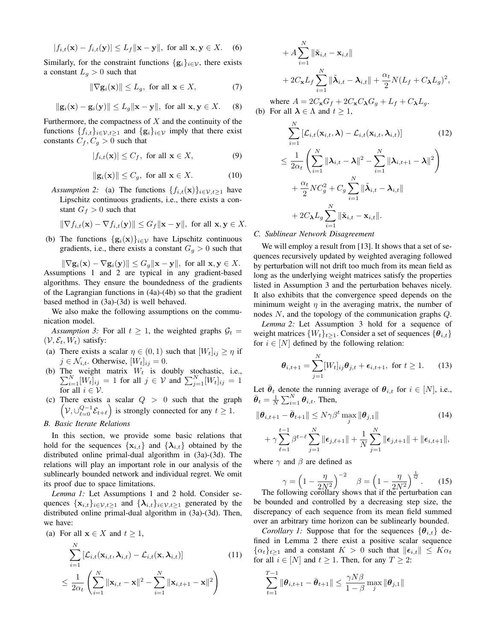$$
|f_{i,t}(\mathbf{x}) - f_{i,t}(\mathbf{y})| \le L_f \|\mathbf{x} - \mathbf{y}\|, \text{ for all } \mathbf{x}, \mathbf{y} \in X. \quad (6)
$$

Similarly, for the constraint functions  $\{g_i\}_{i\in\mathcal{V}}$ , there exists a constant  $L_q > 0$  such that

$$
\|\nabla \mathbf{g}_i(\mathbf{x})\| \le L_g, \text{ for all } \mathbf{x} \in X,
$$
 (7)

$$
\|\mathbf{g}_i(\mathbf{x}) - \mathbf{g}_i(\mathbf{y})\| \le L_g \|\mathbf{x} - \mathbf{y}\|, \text{ for all } \mathbf{x}, \mathbf{y} \in X. \tag{8}
$$

Furthermore, the compactness of  $X$  and the continuity of the functions  $\{f_{i,t}\}_{i\in\mathcal{V},t\geq 1}$  and  $\{g_i\}_{i\in\mathcal{V}}$  imply that there exist constants  $C_f, C_g > 0$  such that

$$
|f_{i,t}(\mathbf{x})| \le C_f, \text{ for all } \mathbf{x} \in X,
$$
 (9)

$$
\|\mathbf{g}_i(\mathbf{x})\| \le C_g, \text{ for all } \mathbf{x} \in X. \tag{10}
$$

*Assumption 2:* (a) The functions  $\{f_{i,t}(\mathbf{x})\}_{i\in\mathcal{V},t\geq 1}$  have Lipschitz continuous gradients, i.e., there exists a constant  $G_f > 0$  such that

$$
\|\nabla f_{i,t}(\mathbf{x}) - \nabla f_{i,t}(\mathbf{y})\| \le G_f \|\mathbf{x} - \mathbf{y}\|, \text{ for all } \mathbf{x}, \mathbf{y} \in X.
$$

(b) The functions  $\{g_i(x)\}_{i\in\mathcal{V}}$  have Lipschitz continuous gradients, i.e., there exists a constant  $G<sub>q</sub> > 0$  such that

 $\|\nabla \mathbf{g}_i(\mathbf{x}) - \nabla \mathbf{g}_i(\mathbf{y})\| \le G_g \|\mathbf{x} - \mathbf{y}\|,$  for all  $\mathbf{x}, \mathbf{y} \in X$ . Assumptions 1 and 2 are typical in any gradient-based algorithms. They ensure the boundedness of the gradients of the Lagrangian functions in (4a)-(4b) so that the gradient based method in (3a)-(3d) is well behaved.

We also make the following assumptions on the communication model.

*Assumption 3:* For all  $t \geq 1$ , the weighted graphs  $\mathcal{G}_t =$  $(V, \mathcal{E}_t, W_t)$  satisfy:

- (a) There exists a scalar  $\eta \in (0,1)$  such that  $[W_t]_{ij} \geq \eta$  if  $j \in \mathcal{N}_{i,t}$ . Otherwise,  $[W_t]_{ij} = 0$ .
- (b) The weight matrix P e weight matrix  $W_t$  is doubly stochastic, i.e.,<br>  $W_{i=1}[W_t]_{ij} = 1$  for all  $j \in V$  and  $\sum_{j=1}^{N} [W_t]_{ij} = 1$ for all  $i \in \mathcal{V}$ .
- (c) There exists a scalar  $Q > 0$  such that the graph  $(\mathcal{V}, \bigcup_{\ell=0}^{Q-1} \mathcal{E}_{t+\ell})$  is strongly connected for any  $t \geq 1$ .

# *B. Basic Iterate Relations*

In this section, we provide some basic relations that hold for the sequences  $\{x_{i,t}\}\$  and  $\{\lambda_{i,t}\}\$ obtained by the distributed online primal-dual algorithm in (3a)-(3d). The relations will play an important role in our analysis of the sublinearly bounded network and individual regret. We omit its proof due to space limitations.

*Lemma 1:* Let Assumptions 1 and 2 hold. Consider sequences  $\{x_{i,t}\}_{i\in\mathcal{V},t>1}$  and  $\{\lambda_{i,t}\}_{i\in\mathcal{V},t>1}$  generated by the distributed online primal-dual algorithm in (3a)-(3d). Then, we have:

(a) For all 
$$
\mathbf{x} \in X
$$
 and  $t \geq 1$ ,

$$
\sum_{i=1}^{N} [\mathcal{L}_{i,t}(\mathbf{x}_{i,t}, \boldsymbol{\lambda}_{i,t}) - \mathcal{L}_{i,t}(\mathbf{x}, \boldsymbol{\lambda}_{i,t})]
$$
(11)  

$$
\leq \frac{1}{2\alpha_t} \left( \sum_{i=1}^{N} ||\mathbf{x}_{i,t} - \mathbf{x}||^2 - \sum_{i=1}^{N} ||\mathbf{x}_{i,t+1} - \mathbf{x}||^2 \right)
$$

+ 
$$
A \sum_{i=1}^{N} \|\tilde{\mathbf{x}}_{i,t} - \mathbf{x}_{i,t}\|
$$
  
+  $2C_{\mathbf{x}}L_f \sum_{i=1}^{N} \|\tilde{\lambda}_{i,t} - \lambda_{i,t}\| + \frac{\alpha_t}{2} N (L_f + C_{\lambda}L_g)^2$ ,

where  $A = 2C_{\mathbf{x}}G_f + 2C_{\mathbf{x}}C_{\mathbf{\lambda}}G_g + L_f + C_{\mathbf{\lambda}}L_g$ . (b) For all  $\lambda \in \Lambda$  and  $t \geq 1$ ,

$$
\sum_{i=1}^{N} [\mathcal{L}_{i,t}(\mathbf{x}_{i,t}, \boldsymbol{\lambda}) - \mathcal{L}_{i,t}(\mathbf{x}_{i,t}, \boldsymbol{\lambda}_{i,t})]
$$
(12)  

$$
\leq \frac{1}{2\alpha_t} \left( \sum_{i=1}^{N} \|\boldsymbol{\lambda}_{i,t} - \boldsymbol{\lambda}\|^2 - \sum_{i=1}^{N} \|\boldsymbol{\lambda}_{i,t+1} - \boldsymbol{\lambda}\|^2 \right)
$$

$$
+ \frac{\alpha_t}{2} NC_g^2 + C_g \sum_{i=1}^{N} \|\tilde{\boldsymbol{\lambda}}_{i,t} - \boldsymbol{\lambda}_{i,t}\|
$$

$$
+ 2C_{\boldsymbol{\lambda}} L_g \sum_{i=1}^{N} \|\tilde{\mathbf{x}}_{i,t} - \mathbf{x}_{i,t}\|.
$$

# *C. Sublinear Network Disagreement*

We will employ a result from [13]. It shows that a set of sequences recursively updated by weighted averaging followed by perturbation will not drift too much from its mean field as long as the underlying weight matrices satisfy the properties listed in Assumption 3 and the perturbation behaves nicely. It also exhibits that the convergence speed depends on the minimum weight  $\eta$  in the averaging matrix, the number of nodes N, and the topology of the communication graphs Q.

*Lemma 2:* Let Assumption 3 hold for a sequence of weight matrices  $\{W_t\}_{t>1}$ . Consider a set of sequences  $\{\theta_{i,t}\}$ for  $i \in [N]$  defined by the following relation:

$$
\boldsymbol{\theta}_{i,t+1} = \sum_{j=1}^{N} [W_t]_{ij} \boldsymbol{\theta}_{j,t} + \boldsymbol{\epsilon}_{i,t+1}, \text{ for } t \ge 1.
$$
 (13)

Let  $\bar{\theta}_t$  denote the running average of  $\theta_{i,t}$  for  $i \in [N]$ , i.e.,  $\bar{\boldsymbol{\theta}}_t = \frac{1}{N} \sum_{i=1}^N \boldsymbol{\theta}_{i,t}.$  Then,

$$
\|\boldsymbol{\theta}_{i,t+1} - \bar{\boldsymbol{\theta}}_{t+1}\| \le N\gamma\beta^t \max_j \|\boldsymbol{\theta}_{j,1}\| \tag{14}
$$

$$
+ \gamma \sum_{\ell=1}^{t-1} \beta^{t-\ell} \sum_{j=1}^N \|\epsilon_{j,\ell+1}\| + \frac{1}{N} \sum_{j=1}^N \|\epsilon_{j,t+1}\| + \|\epsilon_{i,t+1}\|,
$$

where  $\gamma$  and  $\beta$  are defined as

$$
\gamma = \left(1 - \frac{\eta}{2N^2}\right)^{-2} \quad \beta = \left(1 - \frac{\eta}{2N^2}\right)^{\frac{1}{Q}}.
$$
 (15)  
The following corollary shows that if the perturbation can

be bounded and controlled by a decreasing step size, the discrepancy of each sequence from its mean field summed over an arbitrary time horizon can be sublinearly bounded.

*Corollary 1:* Suppose that for the sequences  $\{\theta_{i,t}\}\$  defined in Lemma 2 there exist a positive scalar sequence  $\{\alpha_t\}_{t>1}$  and a constant  $K > 0$  such that  $\|\boldsymbol{\epsilon}_{i,t}\| \leq K\alpha_t$ for all  $i \in [N]$  and  $t \ge 1$ . Then, for any  $T \ge 2$ :

$$
\sum_{t=1}^{T-1} \|\theta_{i,t+1} - \bar{\theta}_{t+1}\| \le \frac{\gamma N \beta}{1 - \beta} \max_{j} \|\theta_{j,1}\|
$$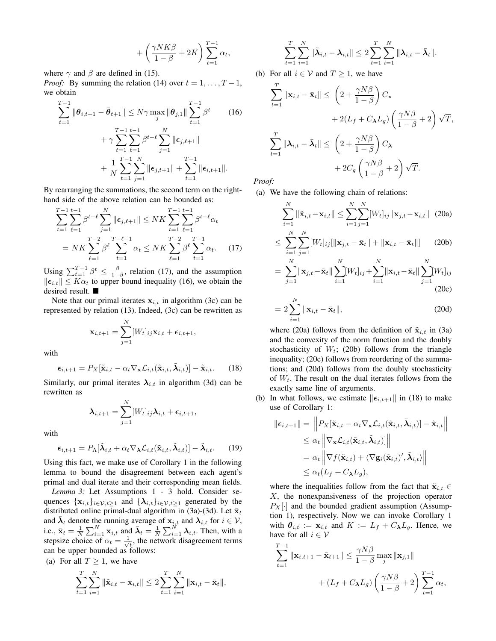$$
+ \left( \frac{\gamma N K \beta}{1-\beta} + 2K \right) \sum_{t=1}^{T-1} \alpha_t,
$$

where  $\gamma$  and  $\beta$  are defined in (15).

*Proof:* By summing the relation (14) over  $t = 1, \ldots, T-1$ , we obtain

$$
\sum_{t=1}^{T-1} \|\theta_{i,t+1} - \bar{\theta}_{t+1}\| \le N\gamma \max_{j} \|\theta_{j,1}\| \sum_{t=1}^{T-1} \beta^{t}
$$
 (16)  
+  $\gamma \sum_{t=1}^{T-1} \sum_{\ell=1}^{t-1} \beta^{t-\ell} \sum_{j=1}^{N} \|\epsilon_{j,\ell+1}\|$   
+  $\frac{1}{N} \sum_{t=1}^{T-1} \sum_{j=1}^{N} \|\epsilon_{j,t+1}\| + \sum_{t=1}^{T-1} \|\epsilon_{i,t+1}\|.$ 

By rearranging the summations, the second term on the righthand side of the above relation can be bounded as:

$$
\sum_{t=1}^{T-1} \sum_{\ell=1}^{t-1} \beta^{t-\ell} \sum_{j=1}^{N} \|\epsilon_{j,\ell+1}\| \le NK \sum_{t=1}^{T-1} \sum_{\ell=1}^{t-1} \beta^{t-\ell} \alpha_t
$$
  
= NK  $\sum_{\ell=1}^{T-2} \beta^{\ell} \sum_{t=1}^{T-\ell-1} \alpha_t \le NK \sum_{\ell=1}^{T-2} \beta^{\ell} \sum_{t=1}^{T-1} \alpha_t.$  (17)

Using  $\sum_{t=1}^{T-1} \beta^t \leq \frac{\beta}{1-\beta}$ , relation (17), and the assumption  $\|\boldsymbol{\epsilon}_{i,t}\| \leq K \alpha_t$  to upper bound inequality (16), we obtain the desired result.

Note that our primal iterates  $x_{i,t}$  in algorithm (3c) can be represented by relation (13). Indeed, (3c) can be rewritten as

$$
\mathbf{x}_{i,t+1} = \sum_{j=1}^{N} [W_t]_{ij} \mathbf{x}_{i,t} + \epsilon_{i,t+1},
$$

with

$$
\epsilon_{i,t+1} = P_X[\tilde{\mathbf{x}}_{i,t} - \alpha_t \nabla_{\mathbf{x}} \mathcal{L}_{i,t}(\tilde{\mathbf{x}}_{i,t}, \tilde{\boldsymbol{\lambda}}_{i,t})] - \tilde{\mathbf{x}}_{i,t}.
$$
 (18)

Similarly, our primal iterates  $\lambda_{i,t}$  in algorithm (3d) can be rewritten as

$$
\boldsymbol{\lambda}_{i,t+1} = \sum_{j=1}^N [W_t]_{ij} \boldsymbol{\lambda}_{i,t} + \boldsymbol{\epsilon}_{i,t+1},
$$

with

$$
\epsilon_{i,t+1} = P_{\Lambda}[\tilde{\lambda}_{i,t} + \alpha_t \nabla_{\lambda} \mathcal{L}_{i,t}(\tilde{\mathbf{x}}_{i,t}, \tilde{\lambda}_{i,t})] - \tilde{\lambda}_{i,t}.
$$
 (19)

Using this fact, we make use of Corollary 1 in the following lemma to bound the disagreement between each agent's primal and dual iterate and their corresponding mean fields.

*Lemma 3:* Let Assumptions 1 - 3 hold. Consider sequences  $\{x_{i,t}\}_{i\in\mathcal{V},t\geq 1}$  and  $\{\lambda_{i,t}\}_{i\in\mathcal{V},t\geq 1}$  generated by the distributed online primal-dual algorithm in (3a)-(3d). Let  $\bar{\mathbf{x}}_t$ and  $\bar{\lambda}_t$  denote the running average of  $\mathbf{x}_{i,t}$  and  $\lambda_{i,t}$  for  $i \in \mathcal{V}$ , i.e.,  $\bar{\mathbf{x}}_t = \frac{1}{N} \sum_{i=1}^N \mathbf{x}_{i,t}$  and  $\bar{\boldsymbol{\lambda}}_t = \frac{1}{N} \sum_{i=1}^N \boldsymbol{\lambda}_{i,t}$ . Then, with a stepsize choice of  $\alpha_t = \frac{1}{\sqrt{2}}$  $\frac{1}{t}$ , the network disagreement terms can be upper bounded as follows:

(a) For all  $T \geq 1$ , we have

$$
\sum_{t=1}^{T} \sum_{i=1}^{N} \|\tilde{\mathbf{x}}_{i,t} - \mathbf{x}_{i,t}\| \leq 2 \sum_{t=1}^{T} \sum_{i=1}^{N} \|\mathbf{x}_{i,t} - \bar{\mathbf{x}}_{t}\|,
$$

$$
\sum_{t=1}^T \sum_{i=1}^N \|\tilde{\boldsymbol{\lambda}}_{i,t} - \boldsymbol{\lambda}_{i,t}\| \leq 2 \sum_{t=1}^T \sum_{i=1}^N \|\boldsymbol{\lambda}_{i,t} - \bar{\boldsymbol{\lambda}}_t\|.
$$

(b) For all  $i \in V$  and  $T \geq 1$ , we have

$$
\sum_{t=1}^{T} \|\mathbf{x}_{i,t} - \bar{\mathbf{x}}_t\| \leq \left(2 + \frac{\gamma N \beta}{1 - \beta}\right) C_{\mathbf{x}} \n+ 2(L_f + C_{\lambda} L_g) \left(\frac{\gamma N \beta}{1 - \beta} + 2\right) \sqrt{T},
$$
\n
$$
\sum_{t=1}^{T} \|\mathbf{\lambda}_{i,t} - \bar{\mathbf{\lambda}}_t\| \leq \left(2 + \frac{\gamma N \beta}{1 - \beta}\right) C_{\lambda} \n+ 2C_g \left(\frac{\gamma N \beta}{1 - \beta} + 2\right) \sqrt{T}.
$$

*Proof:*

(a) We have the following chain of relations:

$$
\sum_{i=1}^{N} \|\tilde{\mathbf{x}}_{i,t} - \mathbf{x}_{i,t}\| \le \sum_{i=1}^{N} \sum_{j=1}^{N} [W_t]_{ij} \|\mathbf{x}_{j,t} - \mathbf{x}_{i,t}\| \quad (20a)
$$

$$
\leq \sum_{i=1}^{N} \sum_{j=1}^{N} [W_t]_{ij} [\|\mathbf{x}_{j,t} - \bar{\mathbf{x}}_t\| + \|\mathbf{x}_{i,t} - \bar{\mathbf{x}}_t\|] \qquad (20b)
$$

$$
= \sum_{j=1}^{N} ||\mathbf{x}_{j,t} - \bar{\mathbf{x}}_t|| \sum_{i=1}^{N} [W_t]_{ij} + \sum_{i=1}^{N} ||\mathbf{x}_{i,t} - \bar{\mathbf{x}}_t|| \sum_{j=1}^{N} [W_t]_{ij}
$$
\n(20c)

$$
=2\sum_{i=1}^{N}||\mathbf{x}_{i,t}-\bar{\mathbf{x}}_t||,
$$
\n(20d)

where (20a) follows from the definition of  $\tilde{\mathbf{x}}_{i,t}$  in (3a) and the convexity of the norm function and the doubly stochasticity of  $W_t$ ; (20b) follows from the triangle inequality; (20c) follows from reordering of the summations; and (20d) follows from the doubly stochasticity of  $W_t$ . The result on the dual iterates follows from the exactly same line of arguments.

(b) In what follows, we estimate  $\|\boldsymbol{\epsilon}_{i,t+1}\|$  in (18) to make use of Corollary 1:

$$
\|\boldsymbol{\epsilon}_{i,t+1}\| = \left\|P_X[\tilde{\mathbf{x}}_{i,t} - \alpha_t \nabla_{\mathbf{x}} \mathcal{L}_{i,t}(\tilde{\mathbf{x}}_{i,t}, \tilde{\boldsymbol{\lambda}}_{i,t})] - \tilde{\mathbf{x}}_{i,t}\right\|
$$
  
\n
$$
\leq \alpha_t \left\|\nabla_{\mathbf{x}} \mathcal{L}_{i,t}(\tilde{\mathbf{x}}_{i,t}, \tilde{\boldsymbol{\lambda}}_{i,t})\right\|
$$
  
\n
$$
= \alpha_t \left\|\nabla f(\tilde{\mathbf{x}}_{i,t}) + \langle \nabla \mathbf{g}_i(\tilde{\mathbf{x}}_{i,t})', \tilde{\boldsymbol{\lambda}}_{i,t} \rangle\right\|
$$
  
\n
$$
\leq \alpha_t (L_f + C_{\boldsymbol{\lambda}} L_g),
$$

where the inequalities follow from the fact that  $\tilde{\mathbf{x}}_{i,t} \in$ X, the nonexpansiveness of the projection operator  $P_X[\cdot]$  and the bounded gradient assumption (Assumption 1), respectively. Now we can invoke Corollary 1 with  $\theta_{i,t} := \mathbf{x}_{i,t}$  and  $K := L_f + C_{\lambda} L_g$ . Hence, we have for all  $i \in V$ 

$$
\sum_{t=1}^{T-1} \|\mathbf{x}_{i,t+1} - \bar{\mathbf{x}}_{t+1}\| \le \frac{\gamma N \beta}{1 - \beta} \max_{j} \|\mathbf{x}_{j,1}\| + (L_f + C_{\lambda} L_g) \left(\frac{\gamma N \beta}{1 - \beta} + 2\right) \sum_{t=1}^{T-1} \alpha_t,
$$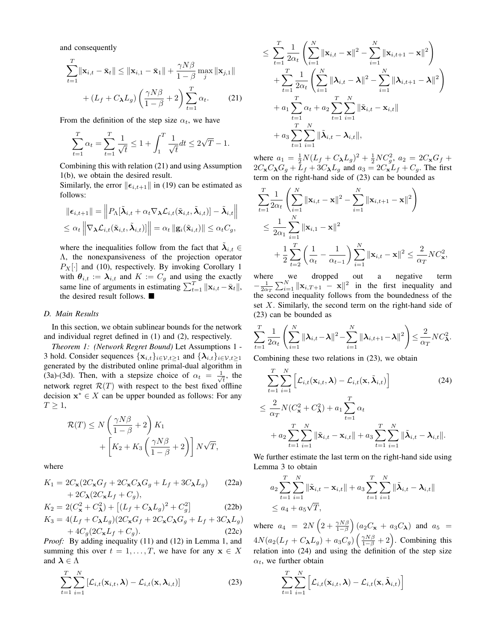and consequently

$$
\sum_{t=1}^{T} \|\mathbf{x}_{i,t} - \bar{\mathbf{x}}_t\| \le \|\mathbf{x}_{i,1} - \bar{\mathbf{x}}_1\| + \frac{\gamma N \beta}{1 - \beta} \max_{j} \|\mathbf{x}_{j,1}\|
$$

$$
+ (L_f + C_{\lambda} L_g) \left(\frac{\gamma N \beta}{1 - \beta} + 2\right) \sum_{t=1}^{T} \alpha_t. \tag{21}
$$

From the definition of the step size  $\alpha_t$ , we have

$$
\sum_{t=1}^{T} \alpha_t = \sum_{t=1}^{T} \frac{1}{\sqrt{t}} \le 1 + \int_1^T \frac{1}{\sqrt{t}} dt \le 2\sqrt{T} - 1.
$$

Combining this with relation (21) and using Assumption 1(b), we obtain the desired result.

Similarly, the error  $\|\boldsymbol{\epsilon}_{i,t+1}\|$  in (19) can be estimated as follows:

$$
\|\boldsymbol{\epsilon}_{i,t+1}\| = \left\| P_{\Lambda}[\tilde{\boldsymbol{\lambda}}_{i,t} + \alpha_t \nabla_{\boldsymbol{\lambda}} \mathcal{L}_{i,t}(\tilde{\mathbf{x}}_{i,t}, \tilde{\boldsymbol{\lambda}}_{i,t})] - \tilde{\boldsymbol{\lambda}}_{i,t} \right\|
$$
  

$$
\leq \alpha_t \left\| \nabla_{\boldsymbol{\lambda}} \mathcal{L}_{i,t}(\tilde{\mathbf{x}}_{i,t}, \tilde{\boldsymbol{\lambda}}_{i,t}) \right\| = \alpha_t \left\| \mathbf{g}_i(\tilde{\mathbf{x}}_{i,t}) \right\| \leq \alpha_t C_g,
$$

where the inequalities follow from the fact that  $\tilde{\lambda}_{i,t} \in$ Λ, the nonexpansiveness of the projection operator  $P_X[\cdot]$  and (10), respectively. By invoking Corollary 1 with  $\theta_{i,t} := \lambda_{i,t}$  and  $K := C_g$  and using the exactly same line of arguments in estimating  $\sum_{t=1}^{T} ||\mathbf{x}_{i,t} - \bar{\mathbf{x}}_t||$ , the desired result follows.

### *D. Main Results*

In this section, we obtain sublinear bounds for the network and individual regret defined in (1) and (2), respectively.

*Theorem 1: (Network Regret Bound)* Let Assumptions 1 - 3 hold. Consider sequences  $\{x_{i,t}\}_{i\in\mathcal{V},t>1}$  and  $\{\lambda_{i,t}\}_{i\in\mathcal{V},t>1}$ generated by the distributed online primal-dual algorithm in (3a)-(3d). Then, with a stepsize choice of  $\alpha_t = \frac{1}{\sqrt{2}}$  $\frac{1}{t}$ , the network regret  $\mathcal{R}(T)$  with respect to the best fixed offline decision  $x^* \in X$  can be upper bounded as follows: For any  $T\geq 1$ ,

$$
\mathcal{R}(T) \le N \left( \frac{\gamma N \beta}{1 - \beta} + 2 \right) K_1 + \left[ K_2 + K_3 \left( \frac{\gamma N \beta}{1 - \beta} + 2 \right) \right] N \sqrt{T},
$$

where

$$
K_1 = 2C_{\mathbf{x}}(2C_{\mathbf{x}}G_f + 2C_{\mathbf{x}}C_{\mathbf{\lambda}}G_g + L_f + 3C_{\mathbf{\lambda}}L_g)
$$
 (22a)  
+ 2C\_{\mathbf{\lambda}}(2C\_{\mathbf{x}}L\_f + C\_g),

$$
K_2 = 2(C_x^2 + C_x^2) + [(L_f + C_x L_g)^2 + C_g^2]
$$
 (22b)

$$
K_3 = 4(L_f + C_{\lambda}L_g)(2C_{\mathbf{x}}G_f + 2C_{\mathbf{x}}C_{\lambda}G_g + L_f + 3C_{\lambda}L_g) + 4C_g(2C_{\mathbf{x}}L_f + C_g).
$$
 (22c)

*Proof:* By adding inequality (11) and (12) in Lemma 1, and summing this over  $t = 1, \ldots, T$ , we have for any  $x \in X$ and  $\lambda \in \Lambda$ 

$$
\sum_{t=1}^{T} \sum_{i=1}^{N} \left[ \mathcal{L}_{i,t}(\mathbf{x}_{i,t}, \boldsymbol{\lambda}) - \mathcal{L}_{i,t}(\mathbf{x}, \boldsymbol{\lambda}_{i,t}) \right]
$$
(23)

$$
\leq \sum_{t=1}^{T} \frac{1}{2\alpha_t} \left( \sum_{i=1}^{N} \|\mathbf{x}_{i,t} - \mathbf{x}\|^2 - \sum_{i=1}^{N} \|\mathbf{x}_{i,t+1} - \mathbf{x}\|^2 \right) + \sum_{t=1}^{T} \frac{1}{2\alpha_t} \left( \sum_{i=1}^{N} \|\boldsymbol{\lambda}_{i,t} - \boldsymbol{\lambda}\|^2 - \sum_{i=1}^{N} \|\boldsymbol{\lambda}_{i,t+1} - \boldsymbol{\lambda}\|^2 \right) + a_1 \sum_{t=1}^{T} \alpha_t + a_2 \sum_{t=1}^{T} \sum_{i=1}^{N} \|\tilde{\mathbf{x}}_{i,t} - \mathbf{x}_{i,t}\| + a_3 \sum_{t=1}^{T} \sum_{i=1}^{N} \|\tilde{\boldsymbol{\lambda}}_{i,t} - \boldsymbol{\lambda}_{i,t}\|,
$$

where  $a_1 = \frac{1}{2}N(L_f + C_{\lambda}L_g)^2 + \frac{1}{2}NC_g^2$ ,  $a_2 = 2C_{\lambda}G_f$  +  $2C_{\mathbf{x}}C_{\mathbf{\lambda}}G_g + L_f + 3C_{\mathbf{\lambda}}L_g$  and  $a_3 = 2C_{\mathbf{x}}L_f + C_g$ . The first term on the right-hand side of (23) can be bounded as

$$
\sum_{t=1}^{T} \frac{1}{2\alpha_t} \left( \sum_{i=1}^{N} \|\mathbf{x}_{i,t} - \mathbf{x}\|^2 - \sum_{i=1}^{N} \|\mathbf{x}_{i,t+1} - \mathbf{x}\|^2 \right)
$$
  
\n
$$
\leq \frac{1}{2\alpha_1} \sum_{i=1}^{N} \|\mathbf{x}_{i,1} - \mathbf{x}\|^2
$$
  
\n
$$
+ \frac{1}{2} \sum_{t=2}^{T} \left( \frac{1}{\alpha_t} - \frac{1}{\alpha_{t-1}} \right) \sum_{i=1}^{N} \|\mathbf{x}_{i,t} - \mathbf{x}\|^2 \leq \frac{2}{\alpha_T} NC_{\mathbf{x}}^2
$$

,

where we dropped out a negative term  $-\frac{1}{2\alpha_T}\sum_{i=1}^N ||\mathbf{x}_{i,T+1} - \mathbf{x}||^2$  in the first inequality and the second inequality follows from the boundedness of the set X. Similarly, the second term on the right-hand side of (23) can be bounded as

$$
\sum_{t=1}^T \frac{1}{2\alpha_t} \left( \sum_{i=1}^N \|\lambda_{i,t} - \lambda\|^2 - \sum_{i=1}^N \|\lambda_{i,t+1} - \lambda\|^2 \right) \le \frac{2}{\alpha_T} NC_{\lambda}^2.
$$

Combining these two relations in (23), we obtain

$$
\sum_{t=1}^{T} \sum_{i=1}^{N} \left[ \mathcal{L}_{i,t}(\mathbf{x}_{i,t}, \boldsymbol{\lambda}) - \mathcal{L}_{i,t}(\mathbf{x}, \tilde{\boldsymbol{\lambda}}_{i,t}) \right]
$$
(24)  

$$
\leq \frac{2}{\alpha_T} N(C_{\mathbf{x}}^2 + C_{\mathbf{\lambda}}^2) + a_1 \sum_{t=1}^{T} \alpha_t
$$

$$
+ a_2 \sum_{t=1}^{T} \sum_{i=1}^{N} \|\tilde{\mathbf{x}}_{i,t} - \mathbf{x}_{i,t}\| + a_3 \sum_{t=1}^{T} \sum_{i=1}^{N} \|\tilde{\boldsymbol{\lambda}}_{i,t} - \boldsymbol{\lambda}_{i,t}\|.
$$

We further estimate the last term on the right-hand side using Lemma 3 to obtain

$$
a_2 \sum_{t=1}^T \sum_{i=1}^N \|\tilde{\mathbf{x}}_{i,t} - \mathbf{x}_{i,t}\| + a_3 \sum_{t=1}^T \sum_{i=1}^N \|\tilde{\boldsymbol{\lambda}}_{i,t} - \boldsymbol{\lambda}_{i,t}\|
$$
  
  $\le a_4 + a_5 \sqrt{T},$ 

where  $a_4 = 2N\left(2 + \frac{\gamma N \beta}{1-\beta}\right)(a_2 C_x + a_3 C_x)$  and  $a_5 =$  $4N(a_2(L_f + C_{\lambda}L_g) + a_3C_g)\left(\frac{\gamma N\beta}{1-\beta} + 2\right)$ . Combining this relation into (24) and using the definition of the step size  $\alpha_t$ , we further obtain

$$
\sum_{t=1}^{T} \sum_{i=1}^{N} \left[ \mathcal{L}_{i,t}(\mathbf{x}_{i,t}, \boldsymbol{\lambda}) - \mathcal{L}_{i,t}(\mathbf{x}, \tilde{\boldsymbol{\lambda}}_{i,t}) \right]
$$